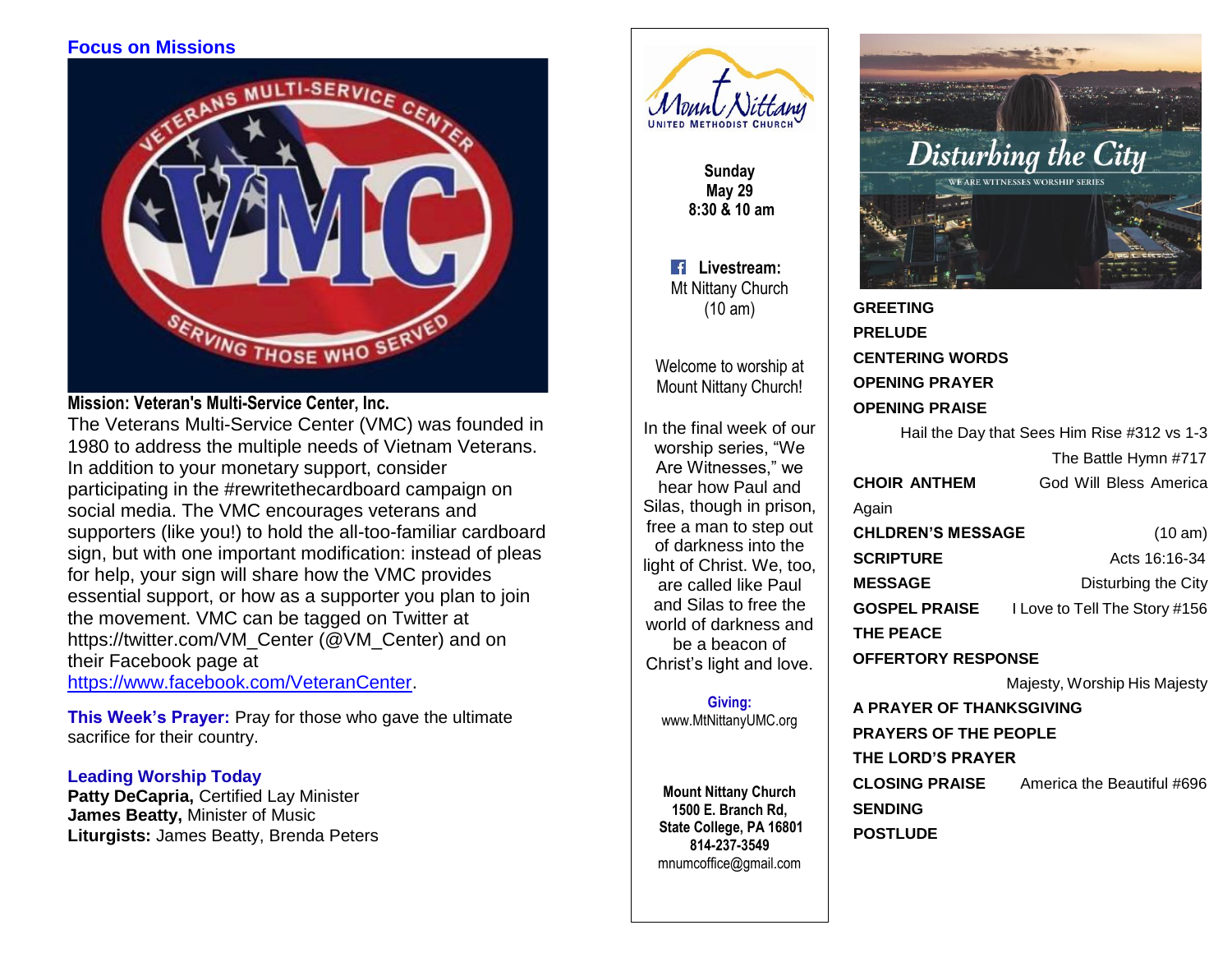# **Focus on Missions**



## **Mission: Veteran's Multi-Service Center, Inc.**

The Veterans Multi-Service Center (VMC) was founded in 1980 to address the multiple needs of Vietnam Veterans. In addition to your monetary support, consider participating in the #rewritethecardboard campaign on social media. The VMC encourages veterans and supporters (like you!) to hold the all-too-familiar cardboard sign, but with one important modification: instead of pleas for help, your sign will share how the VMC provides essential support, or how as a supporter you plan to join the movement. VMC can be tagged on Twitter at https://twitter.com/VM\_Center (@VM\_Center) and on their Facebook page at

[https://www.facebook.com/VeteranCenter.](https://www.facebook.com/VeteranCenter)

**This Week's Prayer:** Pray for those who gave the ultimate sacrifice for their country.

### **Leading Worship Today**

**Patty DeCapria,** Certified Lay Minister **James Beatty,** Minister of Music **Liturgists:** James Beatty, Brenda Peters



**Sunday May 29 8:30 & 10 am**

**Livestream:** Mt Nittany Church (10 am)

Welcome to worship at Mount Nittany Church!

In the final week of our worship series, "We Are Witnesses," we hear how Paul and Silas, though in prison, free a man to step out of darkness into the light of Christ. We, too, are called like Paul and Silas to free the world of darkness and be a beacon of Christ's light and love.

> **Giving:** [www.MtNittanyUMC.org](http://www.mtnittanyumc.org/)

**Mount Nittany Church 1500 E. Branch Rd, State College, PA 16801 814-237-3549** [mnumcoffice@gmail.com](mailto:mnumcoffice@gmail.com)



**GREETING PRELUDE CENTERING WORDS OPENING PRAYER OPENING PRAISE** 

Hail the Day that Sees Him Rise #312 vs 1-3 The Battle Hymn #717 **CHOIR ANTHEM** God Will Bless America Again **CHLDREN'S MESSAGE** (10 am) **SCRIPTURE Acts 16:16-34 MESSAGE** Disturbing the City **GOSPEL PRAISE** I Love to Tell The Story #156 **THE PEACE OFFERTORY RESPONSE**  Majesty, Worship His Majesty **A PRAYER OF THANKSGIVING** 

**PRAYERS OF THE PEOPLE THE LORD'S PRAYER CLOSING PRAISE** America the Beautiful #696 **SENDING POSTLUDE**